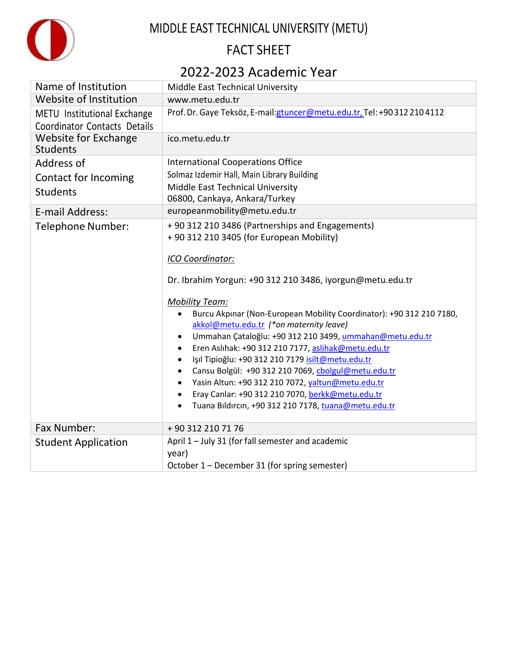

# MIDDLE EAST TECHNICAL UNIVERSITY (METU)

# FACT SHEET

## 2022-2023 Academic Year

| Name of Institution                                                | Middle East Technical University                                                                         |
|--------------------------------------------------------------------|----------------------------------------------------------------------------------------------------------|
| Website of Institution                                             | www.metu.edu.tr                                                                                          |
| METU Institutional Exchange<br><b>Coordinator Contacts Details</b> | Prof. Dr. Gaye Teksöz, E-mail: gtuncer@metu.edu.tr, Tel: +903122104112                                   |
| <b>Website for Exchange</b><br><b>Students</b>                     | ico.metu.edu.tr                                                                                          |
| Address of                                                         | <b>International Cooperations Office</b>                                                                 |
| Contact for Incoming                                               | Solmaz Izdemir Hall, Main Library Building                                                               |
| <b>Students</b>                                                    | Middle East Technical University                                                                         |
|                                                                    | 06800, Cankaya, Ankara/Turkey                                                                            |
| E-mail Address:                                                    | europeanmobility@metu.edu.tr                                                                             |
| Telephone Number:                                                  | +90 312 210 3486 (Partnerships and Engagements)                                                          |
|                                                                    | +90 312 210 3405 (for European Mobility)                                                                 |
|                                                                    | ICO Coordinator:                                                                                         |
|                                                                    | Dr. Ibrahim Yorgun: +90 312 210 3486, iyorgun@metu.edu.tr                                                |
|                                                                    | <b>Mobility Team:</b>                                                                                    |
|                                                                    | Burcu Akpınar (Non-European Mobility Coordinator): +90 312 210 7180,                                     |
|                                                                    | akkol@metu.edu.tr (*on maternity leave)                                                                  |
|                                                                    | Ummahan Çataloğlu: +90 312 210 3499, ummahan@metu.edu.tr                                                 |
|                                                                    | Eren Aslıhak: +90 312 210 7177, aslihak@metu.edu.tr                                                      |
|                                                                    | Işıl Tipioğlu: +90 312 210 7179 isilt@metu.edu.tr<br>Cansu Bolgül: +90 312 210 7069, cbolgul@metu.edu.tr |
|                                                                    | Yasin Altun: +90 312 210 7072, yaltun@metu.edu.tr                                                        |
|                                                                    | Eray Canlar: +90 312 210 7070, berkk@metu.edu.tr                                                         |
|                                                                    | Tuana Bildircin, +90 312 210 7178, tuana@metu.edu.tr                                                     |
| Fax Number:                                                        | +90 312 210 71 76                                                                                        |
| <b>Student Application</b>                                         | April 1 - July 31 (for fall semester and academic                                                        |
|                                                                    | year)                                                                                                    |
|                                                                    | October 1 - December 31 (for spring semester)                                                            |